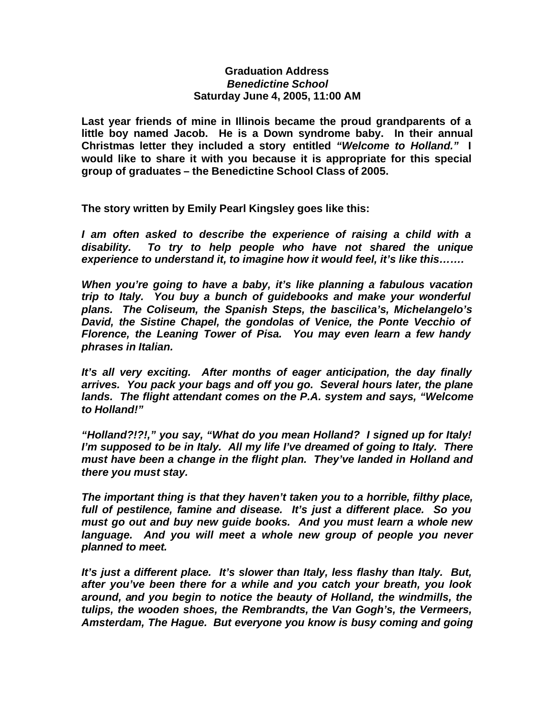## **Graduation Address** *Benedictine School* **Saturday June 4, 2005, 11:00 AM**

**Last year friends of mine in Illinois became the proud grandparents of a little boy named Jacob. He is a Down syndrome baby. In their annual Christmas letter they included a story entitled** *"Welcome to Holland."* **I would like to share it with you because it is appropriate for this special group of graduates – the Benedictine School Class of 2005.**

**The story written by Emily Pearl Kingsley goes like this:**

*I am often asked to describe the experience of raising a child with a disability. To try to help people who have not shared the unique experience to understand it, to imagine how it would feel, it's like this…….*

*When you're going to have a baby, it's like planning a fabulous vacation trip to Italy. You buy a bunch of guidebooks and make your wonderful plans. The Coliseum, the Spanish Steps, the bascilica's, Michelangelo's David, the Sistine Chapel, the gondolas of Venice, the Ponte Vecchio of Florence, the Leaning Tower of Pisa. You may even learn a few handy phrases in Italian.*

*It's all very exciting. After months of eager anticipation, the day finally arrives. You pack your bags and off you go. Several hours later, the plane lands. The flight attendant comes on the P.A. system and says, "Welcome to Holland!"*

*"Holland?!?!," you say, "What do you mean Holland? I signed up for Italy! I'm supposed to be in Italy. All my life I've dreamed of going to Italy. There must have been a change in the flight plan. They've landed in Holland and there you must stay.*

*The important thing is that they haven't taken you to a horrible, filthy place, full of pestilence, famine and disease. It's just a different place. So you must go out and buy new guide books. And you must learn a whole new language. And you will meet a whole new group of people you never planned to meet.*

*It's just a different place. It's slower than Italy, less flashy than Italy. But, after you've been there for a while and you catch your breath, you look around, and you begin to notice the beauty of Holland, the windmills, the tulips, the wooden shoes, the Rembrandts, the Van Gogh's, the Vermeers, Amsterdam, The Hague. But everyone you know is busy coming and going*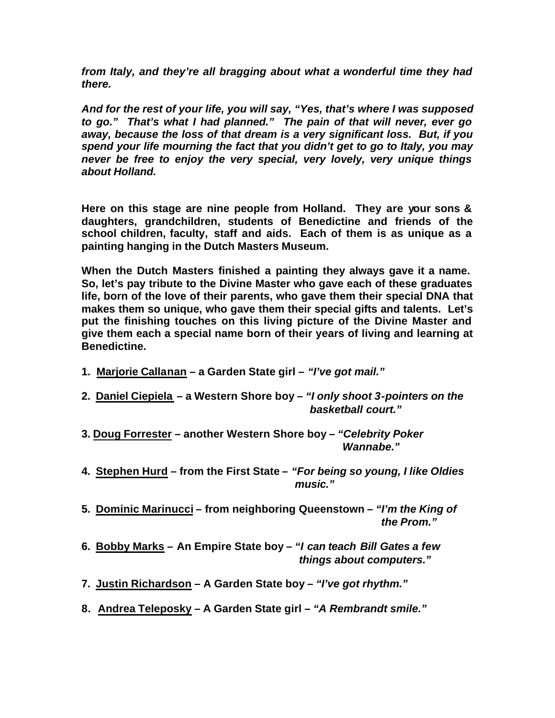*from Italy, and they're all bragging about what a wonderful time they had there.*

*And for the rest of your life, you will say, "Yes, that's where I was supposed to go." That's what I had planned." The pain of that will never, ever go away, because the loss of that dream is a very significant loss. But, if you spend your life mourning the fact that you didn't get to go to Italy, you may never be free to enjoy the very special, very lovely, very unique things about Holland.*

**Here on this stage are nine people from Holland. They are your sons & daughters, grandchildren, students of Benedictine and friends of the school children, faculty, staff and aids. Each of them is as unique as a painting hanging in the Dutch Masters Museum.**

**When the Dutch Masters finished a painting they always gave it a name. So, let's pay tribute to the Divine Master who gave each of these graduates life, born of the love of their parents, who gave them their special DNA that makes them so unique, who gave them their special gifts and talents. Let's put the finishing touches on this living picture of the Divine Master and give them each a special name born of their years of living and learning at Benedictine.** 

- **1. Marjorie Callanan a Garden State girl –** *"I've got mail."*
- **2. Daniel Ciepiela a Western Shore boy –** *"I only shoot 3-pointers on the basketball court."*
- **3. Doug Forrester – another Western Shore boy –** *"Celebrity Poker Wannabe."*
- **4. Stephen Hurd from the First State –** *"For being so young, I like Oldies music."*
- **5. Dominic Marinucci from neighboring Queenstown –** *"I'm the King of the Prom."*
- **6. Bobby Marks An Empire State boy –** *"I can teach Bill Gates a few things about computers."*
- **7. Justin Richardson A Garden State boy –** *"I've got rhythm."*
- **8. Andrea Teleposky A Garden State girl –** *"A Rembrandt smile."*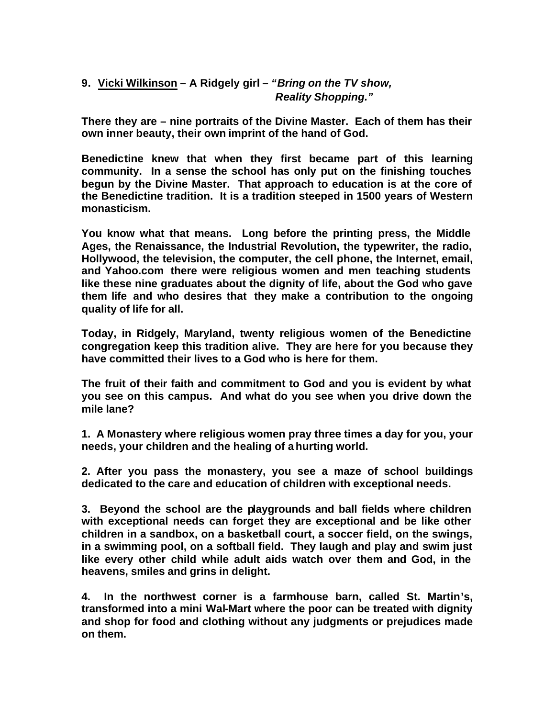## **9. Vicki Wilkinson – A Ridgely girl –** *"Bring on the TV show, Reality Shopping."*

**There they are – nine portraits of the Divine Master. Each of them has their own inner beauty, their own imprint of the hand of God.**

**Benedictine knew that when they first became part of this learning community. In a sense the school has only put on the finishing touches begun by the Divine Master. That approach to education is at the core of the Benedictine tradition. It is a tradition steeped in 1500 years of Western monasticism.** 

**You know what that means. Long before the printing press, the Middle Ages, the Renaissance, the Industrial Revolution, the typewriter, the radio, Hollywood, the television, the computer, the cell phone, the Internet, email, and Yahoo.com there were religious women and men teaching students like these nine graduates about the dignity of life, about the God who gave them life and who desires that they make a contribution to the ongoing quality of life for all.**

**Today, in Ridgely, Maryland, twenty religious women of the Benedictine congregation keep this tradition alive. They are here for you because they have committed their lives to a God who is here for them.** 

**The fruit of their faith and commitment to God and you is evident by what you see on this campus. And what do you see when you drive down the mile lane?** 

**1. A Monastery where religious women pray three times a day for you, your needs, your children and the healing of a hurting world.**

**2. After you pass the monastery, you see a maze of school buildings dedicated to the care and education of children with exceptional needs.**

**3. Beyond the school are the playgrounds and ball fields where children with exceptional needs can forget they are exceptional and be like other children in a sandbox, on a basketball court, a soccer field, on the swings, in a swimming pool, on a softball field. They laugh and play and swim just like every other child while adult aids watch over them and God, in the heavens, smiles and grins in delight.** 

**4. In the northwest corner is a farmhouse barn, called St. Martin's, transformed into a mini Wal-Mart where the poor can be treated with dignity and shop for food and clothing without any judgments or prejudices made on them.**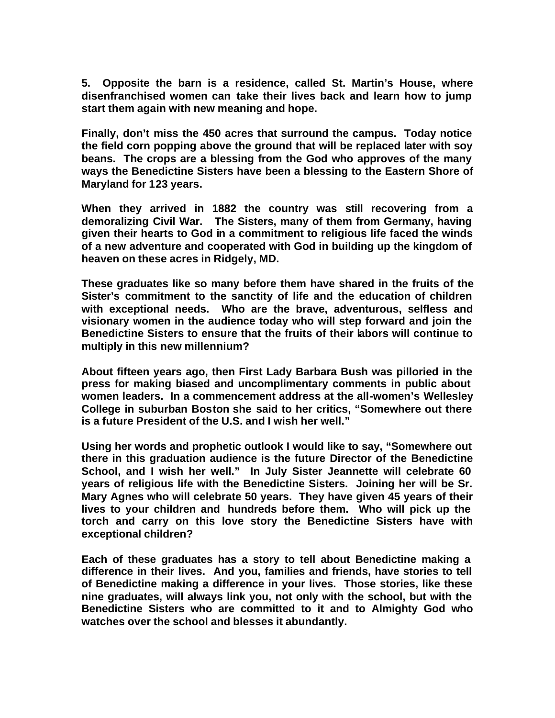**5. Opposite the barn is a residence, called St. Martin's House, where disenfranchised women can take their lives back and learn how to jump start them again with new meaning and hope.**

**Finally, don't miss the 450 acres that surround the campus. Today notice the field corn popping above the ground that will be replaced later with soy beans. The crops are a blessing from the God who approves of the many ways the Benedictine Sisters have been a blessing to the Eastern Shore of Maryland for 123 years.**

**When they arrived in 1882 the country was still recovering from a demoralizing Civil War. The Sisters, many of them from Germany, having given their hearts to God in a commitment to religious life faced the winds of a new adventure and cooperated with God in building up the kingdom of heaven on these acres in Ridgely, MD.**

**These graduates like so many before them have shared in the fruits of the Sister's commitment to the sanctity of life and the education of children with exceptional needs. Who are the brave, adventurous, selfless and visionary women in the audience today who will step forward and join the Benedictine Sisters to ensure that the fruits of their labors will continue to multiply in this new millennium?**

**About fifteen years ago, then First Lady Barbara Bush was pilloried in the press for making biased and uncomplimentary comments in public about women leaders. In a commencement address at the all-women's Wellesley College in suburban Boston she said to her critics, "Somewhere out there is a future President of the U.S. and I wish her well."**

**Using her words and prophetic outlook I would like to say, "Somewhere out there in this graduation audience is the future Director of the Benedictine School, and I wish her well." In July Sister Jeannette will celebrate 60 years of religious life with the Benedictine Sisters. Joining her will be Sr. Mary Agnes who will celebrate 50 years. They have given 45 years of their lives to your children and hundreds before them. Who will pick up the torch and carry on this love story the Benedictine Sisters have with exceptional children?**

**Each of these graduates has a story to tell about Benedictine making a difference in their lives. And you, families and friends, have stories to tell of Benedictine making a difference in your lives. Those stories, like these nine graduates, will always link you, not only with the school, but with the Benedictine Sisters who are committed to it and to Almighty God who watches over the school and blesses it abundantly.**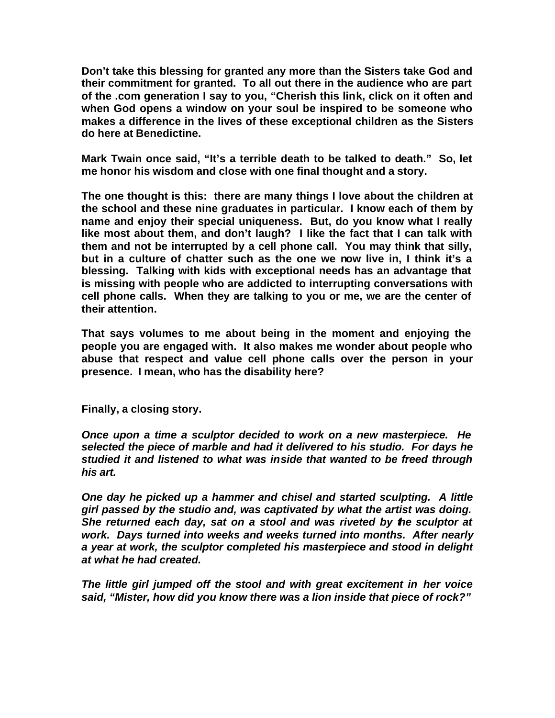**Don't take this blessing for granted any more than the Sisters take God and their commitment for granted. To all out there in the audience who are part of the .com generation I say to you, "Cherish this link, click on it often and when God opens a window on your soul be inspired to be someone who makes a difference in the lives of these exceptional children as the Sisters do here at Benedictine.**

**Mark Twain once said, "It's a terrible death to be talked to death." So, let me honor his wisdom and close with one final thought and a story.** 

**The one thought is this: there are many things I love about the children at the school and these nine graduates in particular. I know each of them by name and enjoy their special uniqueness. But, do you know what I really like most about them, and don't laugh? I like the fact that I can talk with them and not be interrupted by a cell phone call. You may think that silly, but in a culture of chatter such as the one we now live in, I think it's a blessing. Talking with kids with exceptional needs has an advantage that is missing with people who are addicted to interrupting conversations with cell phone calls. When they are talking to you or me, we are the center of their attention.**

**That says volumes to me about being in the moment and enjoying the people you are engaged with. It also makes me wonder about people who abuse that respect and value cell phone calls over the person in your presence. I mean, who has the disability here?**

**Finally, a closing story.**

*Once upon a time a sculptor decided to work on a new masterpiece. He selected the piece of marble and had it delivered to his studio. For days he studied it and listened to what was inside that wanted to be freed through his art.*

*One day he picked up a hammer and chisel and started sculpting. A little girl passed by the studio and, was captivated by what the artist was doing. She returned each day, sat on a stool and was riveted by the sculptor at work. Days turned into weeks and weeks turned into months. After nearly a year at work, the sculptor completed his masterpiece and stood in delight at what he had created.*

*The little girl jumped off the stool and with great excitement in her voice said, "Mister, how did you know there was a lion inside that piece of rock?"*